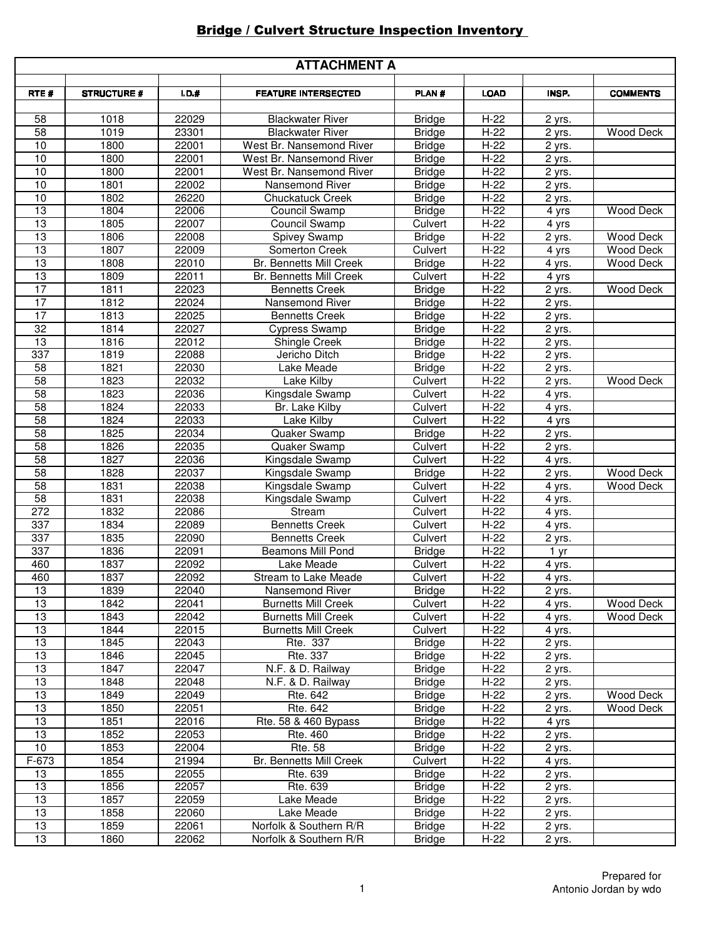## **Bridge / Culvert Structure Inspection Inventory**

| <b>ATTACHMENT A</b> |                    |                |                                 |                    |                    |                     |                  |
|---------------------|--------------------|----------------|---------------------------------|--------------------|--------------------|---------------------|------------------|
| RTE#                | <b>STRUCTURE #</b> | $1.D.$ #       | <b>FEATURE INTERSECTED</b>      | PLAN#              | <b>LOAD</b>        | INSP.               | <b>COMMENTS</b>  |
|                     |                    |                |                                 |                    |                    |                     |                  |
| 58                  | 1018               | 22029          | <b>Blackwater River</b>         | <b>Bridge</b>      | $H-22$             | 2 yrs.              |                  |
| $\overline{58}$     | 1019               | 23301          | <b>Blackwater River</b>         | <b>Bridge</b>      | $H-22$             | 2 yrs.              | Wood Deck        |
| 10                  | 1800               | 22001          | West Br. Nansemond River        | <b>Bridge</b>      | $H-22$             | 2 yrs.              |                  |
| 10                  | 1800               | 22001          | West Br. Nansemond River        | <b>Bridge</b>      | $H-22$             | 2 yrs.              |                  |
| 10                  | 1800               | 22001          | West Br. Nansemond River        | <b>Bridge</b>      | $H-22$             | 2 yrs.              |                  |
| $\overline{10}$     | 1801               | 22002          | Nansemond River                 | <b>Bridge</b>      | $H-22$             | $\overline{2}$ yrs. |                  |
| 10                  | 1802               | 26220          | <b>Chuckatuck Creek</b>         | <b>Bridge</b>      | $H-22$             | 2 yrs.              |                  |
| $\overline{13}$     | 1804               | 22006          | Council Swamp                   | <b>Bridge</b>      | $H-22$             | 4 yrs               | <b>Wood Deck</b> |
| 13                  | 1805               | 22007          | <b>Council Swamp</b>            | Culvert            | $H-22$             | 4 yrs               |                  |
| 13                  | 1806               | 22008          | Spivey Swamp                    | <b>Bridge</b>      | $H-22$             | 2 yrs.              | Wood Deck        |
| 13                  | 1807               | 22009          | Somerton Creek                  | Culvert            | $H-22$             | 4 yrs               | <b>Wood Deck</b> |
| 13                  | 1808               | 22010          | <b>Br. Bennetts Mill Creek</b>  | <b>Bridge</b>      | $H-22$             | 4 yrs.              | <b>Wood Deck</b> |
| $\overline{13}$     | 1809               | 22011          | Br. Bennetts Mill Creek         | Culvert            | $H-22$             | 4 yrs               |                  |
| $\overline{17}$     | 1811               | 22023          | <b>Bennetts Creek</b>           | <b>Bridge</b>      | $H-22$             | 2 yrs.              | <b>Wood Deck</b> |
| 17                  | 1812               | 22024          | Nansemond River                 | <b>Bridge</b>      | $H-22$             | 2 yrs.              |                  |
| 17                  | 1813               | 22025          | <b>Bennetts Creek</b>           | <b>Bridge</b>      | $H-22$             | 2 yrs.              |                  |
| $\overline{32}$     | 1814               | 22027          | <b>Cypress Swamp</b>            | <b>Bridge</b>      | $H-22$             | 2 yrs.              |                  |
| $\overline{13}$     | 1816               | 22012          | <b>Shingle Creek</b>            | <b>Bridge</b>      | $H-22$             | $2$ yrs.            |                  |
| 337                 | 1819               | 22088          | Jericho Ditch                   | <b>Bridge</b>      | $H-22$             | 2 yrs.              |                  |
| $\overline{58}$     | 1821               | 22030          | Lake Meade                      | <b>Bridge</b>      | $H-22$             | 2 yrs.              |                  |
| 58<br>58            | 1823<br>1823       | 22032          | Lake Kilby                      | Culvert            | $H-22$<br>$H-22$   | 2 yrs.              | <b>Wood Deck</b> |
| $\overline{58}$     | 1824               | 22036<br>22033 | Kingsdale Swamp                 | Culvert            | $H-22$             | $\overline{4}$ yrs. |                  |
| $\overline{58}$     | 1824               |                | Br. Lake Kilby                  | Culvert            |                    | 4 yrs.              |                  |
| 58                  | 1825               | 22033<br>22034 | Lake Kilby                      | Culvert            | $H-22$             | 4 yrs               |                  |
| $\overline{58}$     | 1826               |                | Quaker Swamp                    | <b>Bridge</b>      | $H-22$<br>$H-22$   | 2 yrs.              |                  |
| $\overline{58}$     | 1827               | 22035<br>22036 | Quaker Swamp<br>Kingsdale Swamp | Culvert<br>Culvert | $H-22$             | 2 yrs.              |                  |
| 58                  | 1828               | 22037          | Kingsdale Swamp                 | <b>Bridge</b>      | $H-22$             | 4 yrs.              | <b>Wood Deck</b> |
| 58                  | 1831               | 22038          | Kingsdale Swamp                 | Culvert            | $H-22$             | 2 yrs.<br>4 yrs.    | <b>Wood Deck</b> |
| $\overline{58}$     | 1831               | 22038          | Kingsdale Swamp                 | Culvert            | $H-22$             | 4 yrs.              |                  |
| 272                 | 1832               | 22086          | Stream                          | Culvert            | $H-22$             | 4 yrs.              |                  |
| 337                 | 1834               | 22089          | <b>Bennetts Creek</b>           | Culvert            | $H-22$             | 4 yrs.              |                  |
| 337                 | 1835               | 22090          | <b>Bennetts Creek</b>           | Culvert            | $H-22$             | 2 yrs.              |                  |
| 337                 | 1836               | 22091          | <b>Beamons Mill Pond</b>        | <b>Bridge</b>      | $H-22$             | 1 yr                |                  |
| 460                 | 1837               | 22092          | Lake Meade                      | Culvert            | $H-22$             | 4 yrs.              |                  |
| 460                 | 1837               | 22092          | Stream to Lake Meade            | Culvert            | $H-22$             | 4 yrs.              |                  |
| 13                  | 1839               | 22040          | Nansemond River                 | <b>Bridge</b>      | $H-22$             | 2 yrs.              |                  |
| $\overline{13}$     | 1842               | 22041          | <b>Burnetts Mill Creek</b>      | Culvert            | $H-22$             | 4 yrs.              | <b>Wood Deck</b> |
| $\overline{13}$     | 1843               | 22042          | <b>Burnetts Mill Creek</b>      | Culvert            | $H-22$             | 4 yrs.              | Wood Deck        |
| $\overline{13}$     | 1844               | 22015          | <b>Burnetts Mill Creek</b>      | Culvert            | $H-22$             | 4 yrs.              |                  |
| $\overline{13}$     | 1845               | 22043          | Rte. 337                        | <b>Bridge</b>      | $H-22$             | 2 yrs.              |                  |
| $\overline{13}$     | 1846               | 22045          | Rte. 337                        | <b>Bridge</b>      | $H-22$             | 2 yrs.              |                  |
| $\overline{13}$     | 1847               | 22047          | N.F. & D. Railway               | <b>Bridge</b>      | $H-22$             | 2 yrs.              |                  |
| 13                  | 1848               | 22048          | N.F. & D. Railway               | <b>Bridge</b>      | $H-22$             | 2 yrs.              |                  |
| 13                  | 1849               | 22049          | Rte. 642                        | <b>Bridge</b>      | $H-22$             | 2 yrs.              | <b>Wood Deck</b> |
| 13                  | 1850               | 22051          | Rte. 642                        | <b>Bridge</b>      | $\overline{H}$ -22 | 2 yrs.              | Wood Deck        |
| 13                  | 1851               | 22016          | Rte. 58 & 460 Bypass            | <b>Bridge</b>      | $H-22$             | 4 yrs               |                  |
| 13                  | 1852               | 22053          | Rte. 460                        | <b>Bridge</b>      | $H-22$             | $\overline{2}$ yrs. |                  |
| 10                  | 1853               | 22004          | <b>Rte. 58</b>                  | <b>Bridge</b>      | $H-22$             | 2 yrs.              |                  |
| $F-673$             | 1854               | 21994          | <b>Br. Bennetts Mill Creek</b>  | Culvert            | $H-22$             | 4 yrs.              |                  |
| 13                  | 1855               | 22055          | Rte. 639                        | <b>Bridge</b>      | $H-22$             | 2 yrs.              |                  |
| $\overline{13}$     | 1856               | 22057          | Rte. 639                        | <b>Bridge</b>      | $H-22$             | 2 yrs.              |                  |
| $\overline{13}$     | 1857               | 22059          | Lake Meade                      | <b>Bridge</b>      | $H-22$             | 2 yrs.              |                  |
| $\overline{13}$     | 1858               | 22060          | Lake Meade                      | <b>Bridge</b>      | $H-22$             | 2 yrs.              |                  |
| 13                  | 1859               | 22061          | Norfolk & Southern R/R          | <b>Bridge</b>      | $H-22$             | 2 yrs.              |                  |
| 13                  | 1860               | 22062          | Norfolk & Southern R/R          | <b>Bridge</b>      | $H-22$             | 2 yrs.              |                  |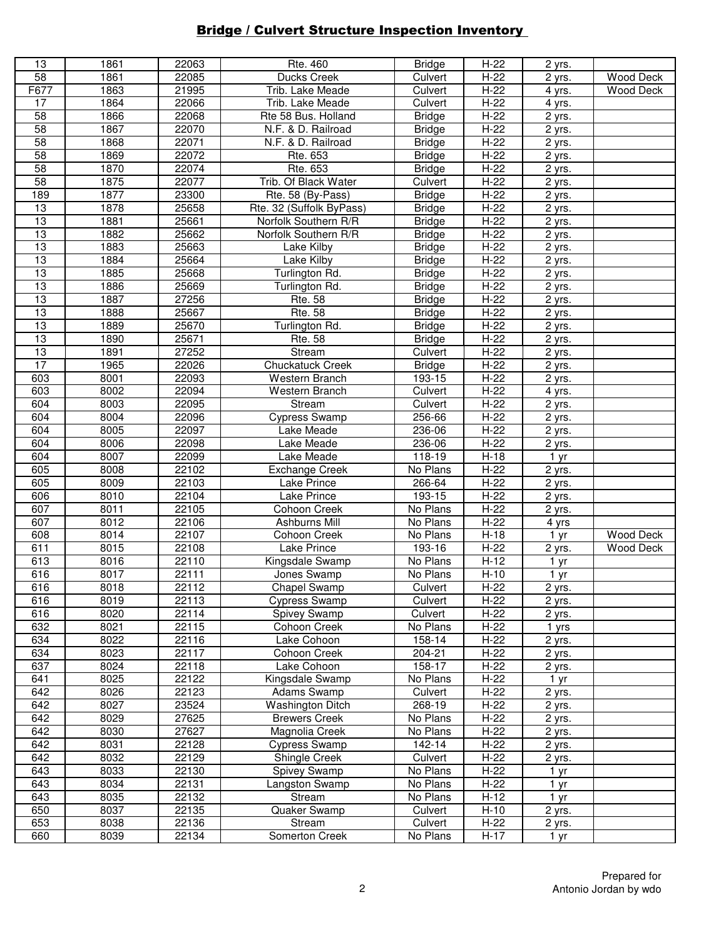## **Bridge / Culvert Structure Inspection Inventory**

| 13              | 1861 | 22063 | Rte. 460                 | <b>Bridge</b> | $H-22$ | 2 yrs.              |                  |
|-----------------|------|-------|--------------------------|---------------|--------|---------------------|------------------|
| 58              | 1861 | 22085 | Ducks Creek              | Culvert       | $H-22$ | 2 yrs.              | <b>Wood Deck</b> |
| F677            | 1863 | 21995 | Trib. Lake Meade         | Culvert       | $H-22$ | 4 yrs.              | Wood Deck        |
| 17              | 1864 | 22066 | Trib. Lake Meade         | Culvert       | $H-22$ | 4 yrs.              |                  |
|                 |      |       | Rte 58 Bus. Holland      |               |        |                     |                  |
| $\overline{58}$ | 1866 | 22068 |                          | <b>Bridge</b> | $H-22$ | 2 yrs.              |                  |
| 58              | 1867 | 22070 | N.F. & D. Railroad       | <b>Bridge</b> | $H-22$ | 2 yrs.              |                  |
| $\overline{58}$ | 1868 | 22071 | N.F. & D. Railroad       | <b>Bridge</b> | $H-22$ | $\overline{2}$ yrs. |                  |
| $\overline{58}$ | 1869 | 22072 | Rte. 653                 | <b>Bridge</b> | $H-22$ | 2 yrs.              |                  |
| 58              | 1870 | 22074 | Rte. 653                 | <b>Bridge</b> | $H-22$ | 2 yrs.              |                  |
| $\overline{58}$ | 1875 | 22077 | Trib. Of Black Water     | Culvert       | $H-22$ | $\overline{2}$ yrs. |                  |
|                 | 1877 |       |                          |               |        |                     |                  |
| 189             |      | 23300 | Rte. 58 (By-Pass)        | <b>Bridge</b> | $H-22$ | 2 yrs.              |                  |
| $\overline{13}$ | 1878 | 25658 | Rte. 32 (Suffolk ByPass) | <b>Bridge</b> | $H-22$ | 2 yrs.              |                  |
| 13              | 1881 | 25661 | Norfolk Southern R/R     | <b>Bridge</b> | $H-22$ | 2 yrs.              |                  |
| $\overline{13}$ | 1882 | 25662 | Norfolk Southern R/R     | <b>Bridge</b> | $H-22$ | 2 yrs.              |                  |
| $\overline{13}$ | 1883 | 25663 | Lake Kilby               | <b>Bridge</b> | $H-22$ | 2 yrs.              |                  |
| $\overline{13}$ | 1884 | 25664 | <b>Lake Kilby</b>        | <b>Bridge</b> | $H-22$ | 2 yrs.              |                  |
| $\overline{13}$ | 1885 | 25668 |                          |               | $H-22$ |                     |                  |
|                 |      |       | Turlington Rd.           | <b>Bridge</b> |        | 2 yrs.              |                  |
| $\overline{13}$ | 1886 | 25669 | Turlington Rd.           | <b>Bridge</b> | $H-22$ | 2 yrs.              |                  |
| $\overline{13}$ | 1887 | 27256 | <b>Rte. 58</b>           | <b>Bridge</b> | $H-22$ | $\overline{2}$ yrs. |                  |
| 13              | 1888 | 25667 | <b>Rte. 58</b>           | <b>Bridge</b> | $H-22$ | 2 yrs.              |                  |
| 13              | 1889 | 25670 | Turlington Rd.           | <b>Bridge</b> | $H-22$ | $\overline{2}$ yrs. |                  |
| 13              | 1890 | 25671 | <b>Rte. 58</b>           | <b>Bridge</b> | $H-22$ | 2 yrs.              |                  |
| 13              | 1891 |       |                          |               |        |                     |                  |
|                 |      | 27252 | Stream                   | Culvert       | $H-22$ | $\overline{2}$ yrs. |                  |
| 17              | 1965 | 22026 | <b>Chuckatuck Creek</b>  | <b>Bridge</b> | $H-22$ | 2 yrs.              |                  |
| 603             | 8001 | 22093 | Western Branch           | 193-15        | $H-22$ | 2 yrs.              |                  |
| 603             | 8002 | 22094 | Western Branch           | Culvert       | $H-22$ | 4 yrs.              |                  |
| 604             | 8003 | 22095 | Stream                   | Culvert       | $H-22$ | 2 yrs.              |                  |
| 604             | 8004 | 22096 | Cypress Swamp            | 256-66        | $H-22$ | 2 yrs.              |                  |
| 604             | 8005 | 22097 | Lake Meade               | 236-06        | $H-22$ | 2 yrs.              |                  |
|                 |      |       |                          |               |        |                     |                  |
| 604             | 8006 | 22098 | Lake Meade               | 236-06        | $H-22$ | 2 yrs.              |                  |
| 604             | 8007 | 22099 | Lake Meade               | 118-19        | $H-18$ | 1 yr                |                  |
| 605             | 8008 | 22102 | <b>Exchange Creek</b>    | No Plans      | $H-22$ | $\overline{2}$ yrs. |                  |
| 605             | 8009 | 22103 | Lake Prince              | 266-64        | $H-22$ | 2 yrs.              |                  |
| 606             | 8010 | 22104 | Lake Prince              | 193-15        | $H-22$ | 2 yrs.              |                  |
| 607             | 8011 | 22105 | Cohoon Creek             | No Plans      | $H-22$ | 2 yrs.              |                  |
|                 |      |       |                          |               |        |                     |                  |
| 607             | 8012 | 22106 | Ashburns Mill            | No Plans      | $H-22$ | 4 yrs               |                  |
| 608             | 8014 | 22107 | Cohoon Creek             | No Plans      | $H-18$ | 1 yr                | <b>Wood Deck</b> |
| 611             | 8015 | 22108 | Lake Prince              | $193 - 16$    | $H-22$ | 2 yrs.              | <b>Wood Deck</b> |
| 613             | 8016 | 22110 | Kingsdale Swamp          | No Plans      | $H-12$ | 1 yr                |                  |
| 616             | 8017 | 22111 | Jones Swamp              | No Plans      | $H-10$ | 1 yr                |                  |
| 616             | 8018 | 22112 | <b>Chapel Swamp</b>      | Culvert       | $H-22$ | 2 yrs.              |                  |
| 616             | 8019 | 22113 |                          | Culvert       | $H-22$ |                     |                  |
|                 |      |       | <b>Cypress Swamp</b>     |               |        | 2 yrs.              |                  |
| 616             | 8020 | 22114 | Spivey Swamp             | Culvert       | $H-22$ | 2 yrs.              |                  |
| 632             | 8021 | 22115 | Cohoon Creek             | No Plans      | $H-22$ | 1 yrs               |                  |
| 634             | 8022 | 22116 | Lake Cohoon              | 158-14        | $H-22$ | 2 yrs.              |                  |
| 634             | 8023 | 22117 | Cohoon Creek             | $204 - 21$    | $H-22$ | 2 yrs.              |                  |
| 637             | 8024 | 22118 | Lake Cohoon              | 158-17        | $H-22$ | 2 yrs.              |                  |
| 641             | 8025 | 22122 | Kingsdale Swamp          | No Plans      | $H-22$ | 1 yr                |                  |
| 642             | 8026 | 22123 | Adams Swamp              | Culvert       | $H-22$ | 2 yrs.              |                  |
|                 |      |       |                          |               |        |                     |                  |
| 642             | 8027 | 23524 | <b>Washington Ditch</b>  | 268-19        | $H-22$ | 2 yrs.              |                  |
| 642             | 8029 | 27625 | <b>Brewers Creek</b>     | No Plans      | $H-22$ | 2 yrs.              |                  |
| 642             | 8030 | 27627 | Magnolia Creek           | No Plans      | $H-22$ | 2 yrs.              |                  |
| 642             | 8031 | 22128 | <b>Cypress Swamp</b>     | 142-14        | $H-22$ | 2 yrs.              |                  |
| 642             | 8032 | 22129 | Shingle Creek            | Culvert       | $H-22$ | 2 yrs.              |                  |
| 643             | 8033 | 22130 | Spivey Swamp             | No Plans      | $H-22$ | 1 yr                |                  |
|                 |      |       |                          |               |        |                     |                  |
| 643             | 8034 | 22131 | Langston Swamp           | No Plans      | $H-22$ | 1 <sub>yr</sub>     |                  |
| 643             | 8035 | 22132 | Stream                   | No Plans      | $H-12$ | 1 yr                |                  |
| 650             | 8037 | 22135 | Quaker Swamp             | Culvert       | $H-10$ | 2 yrs.              |                  |
| 653             | 8038 | 22136 | Stream                   | Culvert       | $H-22$ | 2 yrs.              |                  |
| 660             | 8039 | 22134 | Somerton Creek           | No Plans      | $H-17$ | 1 yr                |                  |
|                 |      |       |                          |               |        |                     |                  |